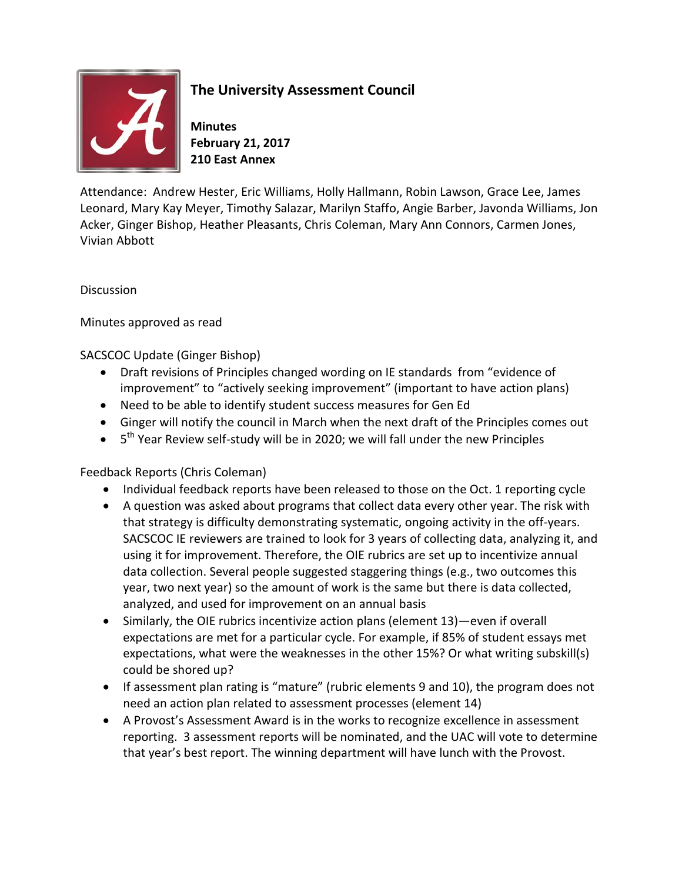

## **The University Assessment Council**

**Minutes February 21, 2017 210 East Annex**

Attendance: Andrew Hester, Eric Williams, Holly Hallmann, Robin Lawson, Grace Lee, James Leonard, Mary Kay Meyer, Timothy Salazar, Marilyn Staffo, Angie Barber, Javonda Williams, Jon Acker, Ginger Bishop, Heather Pleasants, Chris Coleman, Mary Ann Connors, Carmen Jones, Vivian Abbott

**Discussion** 

Minutes approved as read

SACSCOC Update (Ginger Bishop)

- Draft revisions of Principles changed wording on IE standards from "evidence of improvement" to "actively seeking improvement" (important to have action plans)
- Need to be able to identify student success measures for Gen Ed
- Ginger will notify the council in March when the next draft of the Principles comes out
- $\bullet$  5<sup>th</sup> Year Review self-study will be in 2020; we will fall under the new Principles

## Feedback Reports (Chris Coleman)

- Individual feedback reports have been released to those on the Oct. 1 reporting cycle
- A question was asked about programs that collect data every other year. The risk with that strategy is difficulty demonstrating systematic, ongoing activity in the off-years. SACSCOC IE reviewers are trained to look for 3 years of collecting data, analyzing it, and using it for improvement. Therefore, the OIE rubrics are set up to incentivize annual data collection. Several people suggested staggering things (e.g., two outcomes this year, two next year) so the amount of work is the same but there is data collected, analyzed, and used for improvement on an annual basis
- Similarly, the OIE rubrics incentivize action plans (element 13)—even if overall expectations are met for a particular cycle. For example, if 85% of student essays met expectations, what were the weaknesses in the other 15%? Or what writing subskill(s) could be shored up?
- If assessment plan rating is "mature" (rubric elements 9 and 10), the program does not need an action plan related to assessment processes (element 14)
- A Provost's Assessment Award is in the works to recognize excellence in assessment reporting. 3 assessment reports will be nominated, and the UAC will vote to determine that year's best report. The winning department will have lunch with the Provost.